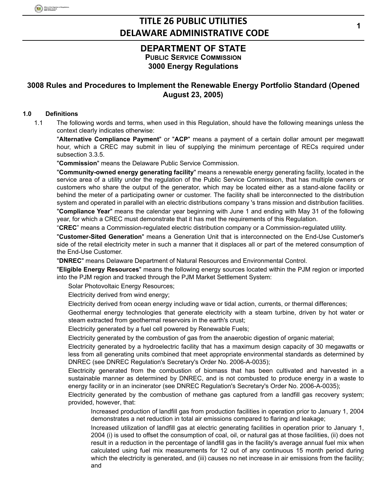### **DEPARTMENT OF STATE PUBLIC SERVICE COMMISSION 3000 Energy Regulations**

### **3008 Rules and Procedures to Implement the Renewable Energy Portfolio Standard (Opened August 23, 2005)**

#### **1.0 Definitions**

1.1 The following words and terms, when used in this Regulation, should have the following meanings unless the context clearly indicates otherwise:

"**Alternative Compliance Payment**" or "**ACP**" means a payment of a certain dollar amount per megawatt hour, which a CREC may submit in lieu of supplying the minimum percentage of RECs required under subsection 3.3.5.

"**Commission**" means the Delaware Public Service Commission.

"**Community-owned energy generating facility**" means a renewable energy generating facility, located in the service area of a utility under the regulation of the Public Service Commission, that has multiple owners or customers who share the output of the generator, which may be located either as a stand-alone facility or behind the meter of a participating owner or customer. The facility shall be interconnected to the distribution system and operated in parallel with an electric distributions company 's trans mission and distribution facilities.

"**Compliance Year**" means the calendar year beginning with June 1 and ending with May 31 of the following year, for which a CREC must demonstrate that it has met the requirements of this Regulation.

"**CREC**" means a Commission-regulated electric distribution company or a Commission-regulated utility.

"**Customer-Sited Generation**" means a Generation Unit that is interconnected on the End-Use Customer's side of the retail electricity meter in such a manner that it displaces all or part of the metered consumption of the End-Use Customer.

"**DNREC**" means Delaware Department of Natural Resources and Environmental Control.

"**Eligible Energy Resources**" means the following energy sources located within the PJM region or imported into the PJM region and tracked through the PJM Market Settlement System:

Solar Photovoltaic Energy Resources;

Electricity derived from wind energy;

Electricity derived from ocean energy including wave or tidal action, currents, or thermal differences;

Geothermal energy technologies that generate electricity with a steam turbine, driven by hot water or steam extracted from geothermal reservoirs in the earth's crust;

Electricity generated by a fuel cell powered by Renewable Fuels;

Electricity generated by the combustion of gas from the anaerobic digestion of organic material;

Electricity generated by a hydroelectric facility that has a maximum design capacity of 30 megawatts or less from all generating units combined that meet appropriate environmental standards as determined by DNREC (see DNREC Regulation's Secretary's Order No. 2006-A-0035);

Electricity generated from the combustion of biomass that has been cultivated and harvested in a sustainable manner as determined by DNREC, and is not combusted to produce energy in a waste to energy facility or in an incinerator (see DNREC Regulation's Secretary's Order No. 2006-A-0035);

Electricity generated by the combustion of methane gas captured from a landfill gas recovery system; provided, however, that:

Increased production of landfill gas from production facilities in operation prior to January 1, 2004 demonstrates a net reduction in total air emissions compared to flaring and leakage;

Increased utilization of landfill gas at electric generating facilities in operation prior to January 1, 2004 (i) is used to offset the consumption of coal, oil, or natural gas at those facilities, (ii) does not result in a reduction in the percentage of landfill gas in the facility's average annual fuel mix when calculated using fuel mix measurements for 12 out of any continuous 15 month period during which the electricity is generated, and (iii) causes no net increase in air emissions from the facility; and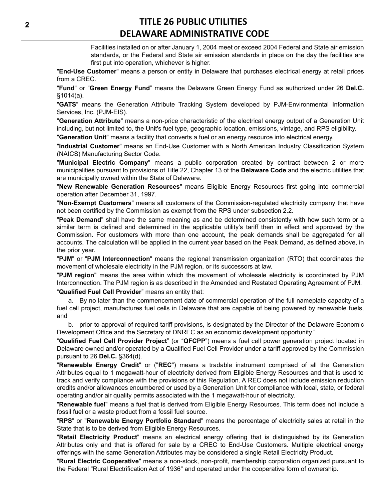Facilities installed on or after January 1, 2004 meet or exceed 2004 Federal and State air emission standards, or the Federal and State air emission standards in place on the day the facilities are first put into operation, whichever is higher.

"**End-Use Customer**" means a person or entity in Delaware that purchases electrical energy at retail prices from a CREC.

"**Fund**" or "**Green Energy Fund**" means the Delaware Green Energy Fund as authorized under 26 **Del.C.** §1014(a).

"**GATS**" means the Generation Attribute Tracking System developed by PJM-Environmental Information Services, Inc. (PJM-EIS).

"**Generation Attribute**" means a non-price characteristic of the electrical energy output of a Generation Unit including, but not limited to, the Unit's fuel type, geographic location, emissions, vintage, and RPS eligibility.

"**Generation Unit**" means a facility that converts a fuel or an energy resource into electrical energy.

"**Industrial Customer**" means an End-Use Customer with a North American Industry Classification System (NAICS) Manufacturing Sector Code.

"**Municipal Electric Company**" means a public corporation created by contract between 2 or more municipalities pursuant to provisions of Title 22, Chapter 13 of the **Delaware Code** and the electric utilities that are municipally owned within the State of Delaware.

"**New Renewable Generation Resources**" means Eligible Energy Resources first going into commercial operation after December 31, 1997.

"**Non-Exempt Customers**" means all customers of the Commission-regulated electricity company that have not been certified by the Commission as exempt from the RPS under subsection 2.2.

"**Peak Demand**" shall have the same meaning as and be determined consistently with how such term or a similar term is defined and determined in the applicable utility's tariff then in effect and approved by the Commission. For customers with more than one account, the peak demands shall be aggregated for all accounts. The calculation will be applied in the current year based on the Peak Demand, as defined above, in the prior year.

"**PJM**" or "**PJM Interconnection**" means the regional transmission organization (RTO) that coordinates the movement of wholesale electricity in the PJM region, or its successors at law.

"**PJM region**" means the area within which the movement of wholesale electricity is coordinated by PJM Interconnection. The PJM region is as described in the Amended and Restated Operating Agreement of PJM. "**Qualified Fuel Cell Provider**" means an entity that:

a. By no later than the commencement date of commercial operation of the full nameplate capacity of a fuel cell project, manufactures fuel cells in Delaware that are capable of being powered by renewable fuels, and

b. prior to approval of required tariff provisions, is designated by the Director of the Delaware Economic Development Office and the Secretary of DNREC as an economic development opportunity."

"**Qualified Fuel Cell Provider Project**" (or "**QFCPP**") means a fuel cell power generation project located in Delaware owned and/or operated by a Qualified Fuel Cell Provider under a tariff approved by the Commission pursuant to 26 **Del.C.** §364(d).

"**Renewable Energy Credit**" or ("**REC**") means a tradable instrument comprised of all the Generation Attributes equal to 1 megawatt-hour of electricity derived from Eligible Energy Resources and that is used to track and verify compliance with the provisions of this Regulation. A REC does not include emission reduction credits and/or allowances encumbered or used by a Generation Unit for compliance with local, state, or federal operating and/or air quality permits associated with the 1 megawatt-hour of electricity.

"**Renewable fuel**" means a fuel that is derived from Eligible Energy Resources. This term does not include a fossil fuel or a waste product from a fossil fuel source.

"**RPS**" or "**Renewable Energy Portfolio Standard**" means the percentage of electricity sales at retail in the State that is to be derived from Eligible Energy Resources.

"**Retail Electricity Product**" means an electrical energy offering that is distinguished by its Generation Attributes only and that is offered for sale by a CREC to End-Use Customers. Multiple electrical energy offerings with the same Generation Attributes may be considered a single Retail Electricity Product.

"**Rural Electric Cooperative**" means a non-stock, non-profit, membership corporation organized pursuant to the Federal "Rural Electrification Act of 1936" and operated under the cooperative form of ownership.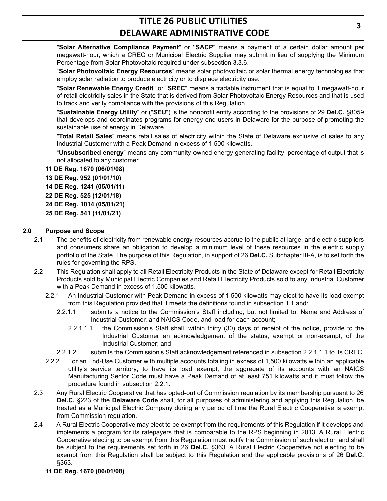"**Solar Alternative Compliance Payment**" or "**SACP**" means a payment of a certain dollar amount per megawatt-hour, which a CREC or Municipal Electric Supplier may submit in lieu of supplying the Minimum Percentage from Solar Photovoltaic required under subsection 3.3.6.

"**Solar Photovoltaic Energy Resources**" means solar photovoltaic or solar thermal energy technologies that employ solar radiation to produce electricity or to displace electricity use.

"**Solar Renewable Energy Credit**" or "**SREC**" means a tradable instrument that is equal to 1 megawatt-hour of retail electricity sales in the State that is derived from Solar Photovoltaic Energy Resources and that is used to track and verify compliance with the provisions of this Regulation.

"**Sustainable Energy Utility**" or ("**SEU**") is the nonprofit entity according to the provisions of 29 **Del.C.** §8059 that develops and coordinates programs for energy end-users in Delaware for the purpose of promoting the sustainable use of energy in Delaware.

"**Total Retail Sales**" means retail sales of electricity within the State of Delaware exclusive of sales to any Industrial Customer with a Peak Demand in excess of 1,500 kilowatts.

"**Unsubscribed energy**" means any community-owned energy generating facility percentage of output that is not allocated to any customer.

**11 DE Reg. 1670 (06/01/08) 13 DE Reg. 952 (01/01/10) 14 DE Reg. 1241 (05/01/11) 22 DE Reg. 525 (12/01/18) 24 DE Reg. 1014 (05/01/21) 25 DE Reg. 541 (11/01/21)**

#### **2.0 Purpose and Scope**

- 2.1 The benefits of electricity from renewable energy resources accrue to the public at large, and electric suppliers and consumers share an obligation to develop a minimum level of these resources in the electric supply portfolio of the State. The purpose of this Regulation, in support of 26 **Del.C.** Subchapter III-A, is to set forth the rules for governing the RPS.
- 2.2 This Regulation shall apply to all Retail Electricity Products in the State of Delaware except for Retail Electricity Products sold by Municipal Electric Companies and Retail Electricity Products sold to any Industrial Customer with a Peak Demand in excess of 1,500 kilowatts.
	- 2.2.1 An Industrial Customer with Peak Demand in excess of 1,500 kilowatts may elect to have its load exempt from this Regulation provided that it meets the definitions found in subsection 1.1 and:
		- 2.2.1.1 submits a notice to the Commission's Staff including, but not limited to, Name and Address of Industrial Customer, and NAICS Code, and load for each account;
			- 2.2.1.1.1 the Commission's Staff shall, within thirty (30) days of receipt of the notice, provide to the Industrial Customer an acknowledgement of the status, exempt or non-exempt, of the Industrial Customer; and
		- 2.2.1.2 submits the Commission's Staff acknowledgement referenced in subsection 2.2.1.1.1 to its CREC.
	- 2.2.2 For an End-Use Customer with multiple accounts totaling in excess of 1,500 kilowatts within an applicable utility's service territory, to have its load exempt, the aggregate of its accounts with an NAICS Manufacturing Sector Code must have a Peak Demand of at least 751 kilowatts and it must follow the procedure found in subsection 2.2.1.
- 2.3 Any Rural Electric Cooperative that has opted-out of Commission regulation by its membership pursuant to 26 **Del.C.** §223 of the **Delaware Code** shall, for all purposes of administering and applying this Regulation, be treated as a Municipal Electric Company during any period of time the Rural Electric Cooperative is exempt from Commission regulation.
- 2.4 A Rural Electric Cooperative may elect to be exempt from the requirements of this Regulation if it develops and implements a program for its ratepayers that is comparable to the RPS beginning in 2013. A Rural Electric Cooperative electing to be exempt from this Regulation must notify the Commission of such election and shall be subject to the requirements set forth in 26 **Del.C.** §363. A Rural Electric Cooperative not electing to be exempt from this Regulation shall be subject to this Regulation and the applicable provisions of 26 **Del.C.** §363.
	- **11 DE Reg. 1670 (06/01/08)**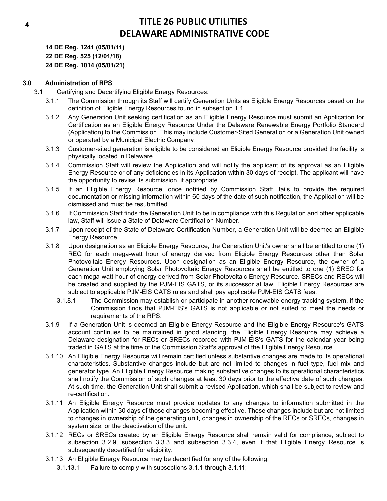**14 DE Reg. 1241 (05/01/11) 22 DE Reg. 525 (12/01/18) 24 DE Reg. 1014 (05/01/21)**

#### **3.0 Administration of RPS**

- 3.1 Certifying and Decertifying Eligible Energy Resources:
	- 3.1.1 The Commission through its Staff will certify Generation Units as Eligible Energy Resources based on the definition of Eligible Energy Resources found in subsection 1.1.
	- 3.1.2 Any Generation Unit seeking certification as an Eligible Energy Resource must submit an Application for Certification as an Eligible Energy Resource Under the Delaware Renewable Energy Portfolio Standard (Application) to the Commission. This may include Customer-Sited Generation or a Generation Unit owned or operated by a Municipal Electric Company.
	- 3.1.3 Customer-sited generation is eligible to be considered an Eligible Energy Resource provided the facility is physically located in Delaware.
	- 3.1.4 Commission Staff will review the Application and will notify the applicant of its approval as an Eligible Energy Resource or of any deficiencies in its Application within 30 days of receipt. The applicant will have the opportunity to revise its submission, if appropriate.
	- 3.1.5 If an Eligible Energy Resource, once notified by Commission Staff, fails to provide the required documentation or missing information within 60 days of the date of such notification, the Application will be dismissed and must be resubmitted.
	- 3.1.6 If Commission Staff finds the Generation Unit to be in compliance with this Regulation and other applicable law, Staff will issue a State of Delaware Certification Number.
	- 3.1.7 Upon receipt of the State of Delaware Certification Number, a Generation Unit will be deemed an Eligible Energy Resource.
	- 3.1.8 Upon designation as an Eligible Energy Resource, the Generation Unit's owner shall be entitled to one (1) REC for each mega-watt hour of energy derived from Eligible Energy Resources other than Solar Photovoltaic Energy Resources. Upon designation as an Eligible Energy Resource, the owner of a Generation Unit employing Solar Photovoltaic Energy Resources shall be entitled to one (1) SREC for each mega-watt hour of energy derived from Solar Photovoltaic Energy Resource. SRECs and RECs will be created and supplied by the PJM-EIS GATS, or its successor at law. Eligible Energy Resources are subject to applicable PJM-EIS GATS rules and shall pay applicable PJM-EIS GATS fees.
		- 3.1.8.1 The Commission may establish or participate in another renewable energy tracking system, if the Commission finds that PJM-EIS's GATS is not applicable or not suited to meet the needs or requirements of the RPS.
	- 3.1.9 If a Generation Unit is deemed an Eligible Energy Resource and the Eligible Energy Resource's GATS account continues to be maintained in good standing, the Eligible Energy Resource may achieve a Delaware designation for RECs or SRECs recorded with PJM-EIS's GATS for the calendar year being traded in GATS at the time of the Commission Staff's approval of the Eligible Energy Resource.
	- 3.1.10 An Eligible Energy Resource will remain certified unless substantive changes are made to its operational characteristics. Substantive changes include but are not limited to changes in fuel type, fuel mix and generator type. An Eligible Energy Resource making substantive changes to its operational characteristics shall notify the Commission of such changes at least 30 days prior to the effective date of such changes. At such time, the Generation Unit shall submit a revised Application, which shall be subject to review and re-certification.
	- 3.1.11 An Eligible Energy Resource must provide updates to any changes to information submitted in the Application within 30 days of those changes becoming effective. These changes include but are not limited to changes in ownership of the generating unit, changes in ownership of the RECs or SRECs, changes in system size, or the deactivation of the unit.
	- 3.1.12 RECs or SRECs created by an Eligible Energy Resource shall remain valid for compliance, subject to subsection 3.2.9, subsection 3.3.3 and subsection 3.3.4, even if that Eligible Energy Resource is subsequently decertified for eligibility.
	- 3.1.13 An Eligible Energy Resource may be decertified for any of the following:
		- 3.1.13.1 Failure to comply with subsections 3.1.1 through 3.1.11;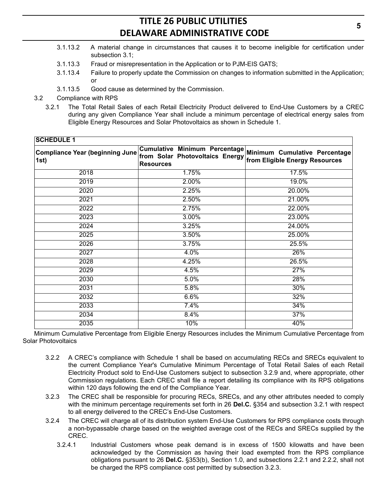- 3.1.13.2 A material change in circumstances that causes it to become ineligible for certification under subsection 3.1;
- 3.1.13.3 Fraud or misrepresentation in the Application or to PJM-EIS GATS;
- 3.1.13.4 Failure to properly update the Commission on changes to information submitted in the Application; or
- 3.1.13.5 Good cause as determined by the Commission.
- 3.2 Compliance with RPS
	- 3.2.1 The Total Retail Sales of each Retail Electricity Product delivered to End-Use Customers by a CREC during any given Compliance Year shall include a minimum percentage of electrical energy sales from Eligible Energy Resources and Solar Photovoltaics as shown in Schedule 1.

| <b>SCHEDULE 1</b>                              |                                                     |                                                                                               |
|------------------------------------------------|-----------------------------------------------------|-----------------------------------------------------------------------------------------------|
| <b>Compliance Year (beginning June</b><br>1st) | from Solar Photovoltaics Energy<br><b>Resources</b> | Cumulative Minimum Percentage Minimum Cumulative Percentage<br>from Eligible Energy Resources |
| 2018                                           | 1.75%                                               | 17.5%                                                                                         |
| 2019                                           | 2.00%                                               | 19.0%                                                                                         |
| 2020                                           | 2.25%                                               | 20.00%                                                                                        |
| 2021                                           | 2.50%                                               | 21.00%                                                                                        |
| 2022                                           | 2.75%                                               | 22.00%                                                                                        |
| 2023                                           | $3.00\%$                                            | 23.00%                                                                                        |
| 2024                                           | 3.25%                                               | 24.00%                                                                                        |
| 2025                                           | 3.50%                                               | 25.00%                                                                                        |
| 2026                                           | 3.75%                                               | 25.5%                                                                                         |
| 2027                                           | 4.0%                                                | 26%                                                                                           |
| 2028                                           | 4.25%                                               | 26.5%                                                                                         |
| 2029                                           | 4.5%                                                | 27%                                                                                           |
| 2030                                           | 5.0%                                                | 28%                                                                                           |
| 2031                                           | 5.8%                                                | 30%                                                                                           |
| 2032                                           | 6.6%                                                | 32%                                                                                           |
| 2033                                           | 7.4%                                                | 34%                                                                                           |
| 2034                                           | 8.4%                                                | 37%                                                                                           |
| 2035                                           | 10%                                                 | 40%                                                                                           |

Minimum Cumulative Percentage from Eligible Energy Resources includes the Minimum Cumulative Percentage from Solar Photovoltaics

- 3.2.2 A CREC's compliance with Schedule 1 shall be based on accumulating RECs and SRECs equivalent to the current Compliance Year's Cumulative Minimum Percentage of Total Retail Sales of each Retail Electricity Product sold to End-Use Customers subject to subsection 3.2.9 and, where appropriate, other Commission regulations. Each CREC shall file a report detailing its compliance with its RPS obligations within 120 days following the end of the Compliance Year.
- 3.2.3 The CREC shall be responsible for procuring RECs, SRECs, and any other attributes needed to comply with the minimum percentage requirements set forth in 26 **Del.C.** §354 and subsection 3.2.1 with respect to all energy delivered to the CREC's End-Use Customers.
- 3.2.4 The CREC will charge all of its distribution system End-Use Customers for RPS compliance costs through a non-bypassable charge based on the weighted average cost of the RECs and SRECs supplied by the CREC.
	- 3.2.4.1 Industrial Customers whose peak demand is in excess of 1500 kilowatts and have been acknowledged by the Commission as having their load exempted from the RPS compliance obligations pursuant to 26 **Del.C.** §353(b), Section 1.0, and subsections 2.2.1 and 2.2.2, shall not be charged the RPS compliance cost permitted by subsection 3.2.3.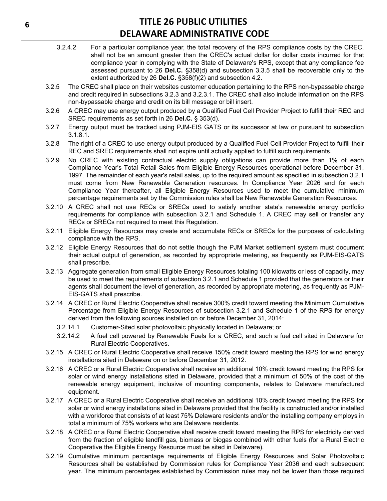- 3.2.4.2 For a particular compliance year, the total recovery of the RPS compliance costs by the CREC, shall not be an amount greater than the CREC's actual dollar for dollar costs incurred for that compliance year in complying with the State of Delaware's RPS, except that any compliance fee assessed pursuant to 26 **Del.C.** §358(d) and subsection 3.3.5 shall be recoverable only to the extent authorized by 26 **Del.C.** §358(f)(2) and subsection 4.2.
- 3.2.5 The CREC shall place on their websites customer education pertaining to the RPS non-bypassable charge and credit required in subsections 3.2.3 and 3.2.3.1. The CREC shall also include information on the RPS non-bypassable charge and credit on its bill message or bill insert.
- 3.2.6 A CREC may use energy output produced by a Qualified Fuel Cell Provider Project to fulfill their REC and SREC requirements as set forth in 26 **Del.C.** § 353(d).
- 3.2.7 Energy output must be tracked using PJM-EIS GATS or its successor at law or pursuant to subsection 3.1.8.1.
- 3.2.8 The right of a CREC to use energy output produced by a Qualified Fuel Cell Provider Project to fulfill their REC and SREC requirements shall not expire until actually applied to fulfill such requirements.
- 3.2.9 No CREC with existing contractual electric supply obligations can provide more than 1% of each Compliance Year's Total Retail Sales from Eligible Energy Resources operational before December 31, 1997. The remainder of each year's retail sales, up to the required amount as specified in subsection 3.2.1 must come from New Renewable Generation resources. In Compliance Year 2026 and for each Compliance Year thereafter, all Eligible Energy Resources used to meet the cumulative minimum percentage requirements set by the Commission rules shall be New Renewable Generation Resources.
- 3.2.10 A CREC shall not use RECs or SRECs used to satisfy another state's renewable energy portfolio requirements for compliance with subsection 3.2.1 and Schedule 1. A CREC may sell or transfer any RECs or SRECs not required to meet this Regulation.
- 3.2.11 Eligible Energy Resources may create and accumulate RECs or SRECs for the purposes of calculating compliance with the RPS.
- 3.2.12 Eligible Energy Resources that do not settle though the PJM Market settlement system must document their actual output of generation, as recorded by appropriate metering, as frequently as PJM-EIS-GATS shall prescribe.
- 3.2.13 Aggregate generation from small Eligible Energy Resources totaling 100 kilowatts or less of capacity, may be used to meet the requirements of subsection 3.2.1 and Schedule 1 provided that the generators or their agents shall document the level of generation, as recorded by appropriate metering, as frequently as PJM-EIS-GATS shall prescribe.
- 3.2.14 A CREC or Rural Electric Cooperative shall receive 300% credit toward meeting the Minimum Cumulative Percentage from Eligible Energy Resources of subsection 3.2.1 and Schedule 1 of the RPS for energy derived from the following sources installed on or before December 31, 2014:
	- 3.2.14.1 Customer-Sited solar photovoltaic physically located in Delaware; or
	- 3.2.14.2 A fuel cell powered by Renewable Fuels for a CREC, and such a fuel cell sited in Delaware for Rural Electric Cooperatives.
- 3.2.15 A CREC or Rural Electric Cooperative shall receive 150% credit toward meeting the RPS for wind energy installations sited in Delaware on or before December 31, 2012.
- 3.2.16 A CREC or a Rural Electric Cooperative shall receive an additional 10% credit toward meeting the RPS for solar or wind energy installations sited in Delaware, provided that a minimum of 50% of the cost of the renewable energy equipment, inclusive of mounting components, relates to Delaware manufactured equipment.
- 3.2.17 A CREC or a Rural Electric Cooperative shall receive an additional 10% credit toward meeting the RPS for solar or wind energy installations sited in Delaware provided that the facility is constructed and/or installed with a workforce that consists of at least 75% Delaware residents and/or the installing company employs in total a minimum of 75% workers who are Delaware residents.
- 3.2.18 A CREC or a Rural Electric Cooperative shall receive credit toward meeting the RPS for electricity derived from the fraction of eligible landfill gas, biomass or biogas combined with other fuels (for a Rural Electric Cooperative the Eligible Energy Resource must be sited in Delaware).
- 3.2.19 Cumulative minimum percentage requirements of Eligible Energy Resources and Solar Photovoltaic Resources shall be established by Commission rules for Compliance Year 2036 and each subsequent year. The minimum percentages established by Commission rules may not be lower than those required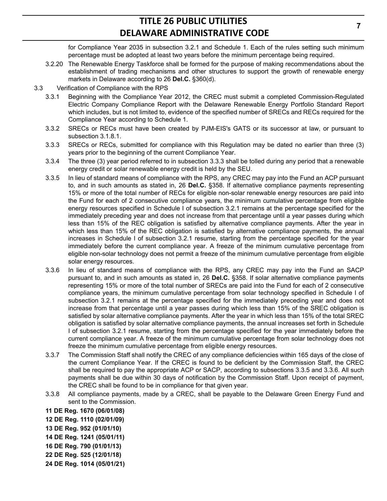for Compliance Year 2035 in subsection 3.2.1 and Schedule 1. Each of the rules setting such minimum percentage must be adopted at least two years before the minimum percentage being required.

- 3.2.20 The Renewable Energy Taskforce shall be formed for the purpose of making recommendations about the establishment of trading mechanisms and other structures to support the growth of renewable energy markets in Delaware according to 26 **Del.C.** §360(d).
- 3.3 Verification of Compliance with the RPS
	- 3.3.1 Beginning with the Compliance Year 2012, the CREC must submit a completed Commission-Regulated Electric Company Compliance Report with the Delaware Renewable Energy Portfolio Standard Report which includes, but is not limited to, evidence of the specified number of SRECs and RECs required for the Compliance Year according to Schedule 1.
	- 3.3.2 SRECs or RECs must have been created by PJM-EIS's GATS or its successor at law, or pursuant to subsection 3.1.8.1.
	- 3.3.3 SRECs or RECs, submitted for compliance with this Regulation may be dated no earlier than three (3) years prior to the beginning of the current Compliance Year.
	- 3.3.4 The three (3) year period referred to in subsection 3.3.3 shall be tolled during any period that a renewable energy credit or solar renewable energy credit is held by the SEU.
	- 3.3.5 In lieu of standard means of compliance with the RPS, any CREC may pay into the Fund an ACP pursuant to, and in such amounts as stated in, 26 **Del.C.** §358. If alternative compliance payments representing 15% or more of the total number of RECs for eligible non-solar renewable energy resources are paid into the Fund for each of 2 consecutive compliance years, the minimum cumulative percentage from eligible energy resources specified in Schedule I of subsection 3.2.1 remains at the percentage specified for the immediately preceding year and does not increase from that percentage until a year passes during which less than 15% of the REC obligation is satisfied by alternative compliance payments. After the year in which less than 15% of the REC obligation is satisfied by alternative compliance payments, the annual increases in Schedule I of subsection 3.2.1 resume, starting from the percentage specified for the year immediately before the current compliance year. A freeze of the minimum cumulative percentage from eligible non-solar technology does not permit a freeze of the minimum cumulative percentage from eligible solar energy resources.
	- 3.3.6 In lieu of standard means of compliance with the RPS, any CREC may pay into the Fund an SACP pursuant to, and in such amounts as stated in, 26 **Del.C.** §358. If solar alternative compliance payments representing 15% or more of the total number of SRECs are paid into the Fund for each of 2 consecutive compliance years, the minimum cumulative percentage from solar technology specified in Schedule I of subsection 3.2.1 remains at the percentage specified for the immediately preceding year and does not increase from that percentage until a year passes during which less than 15% of the SREC obligation is satisfied by solar alternative compliance payments. After the year in which less than 15% of the total SREC obligation is satisfied by solar alternative compliance payments, the annual increases set forth in Schedule I of subsection 3.2.1 resume, starting from the percentage specified for the year immediately before the current compliance year. A freeze of the minimum cumulative percentage from solar technology does not freeze the minimum cumulative percentage from eligible energy resources.
	- 3.3.7 The Commission Staff shall notify the CREC of any compliance deficiencies within 165 days of the close of the current Compliance Year. If the CREC is found to be deficient by the Commission Staff, the CREC shall be required to pay the appropriate ACP or SACP, according to subsections 3.3.5 and 3.3.6. All such payments shall be due within 30 days of notification by the Commission Staff. Upon receipt of payment, the CREC shall be found to be in compliance for that given year.
	- 3.3.8 All compliance payments, made by a CREC, shall be payable to the Delaware Green Energy Fund and sent to the Commission.

**11 DE Reg. 1670 (06/01/08)**

- **12 DE Reg. 1110 (02/01/09)**
- **13 DE Reg. 952 (01/01/10)**
- **14 DE Reg. 1241 (05/01/11)**
- **16 DE Reg. 790 (01/01/13)**
- **22 DE Reg. 525 (12/01/18)**
- **24 DE Reg. 1014 (05/01/21)**